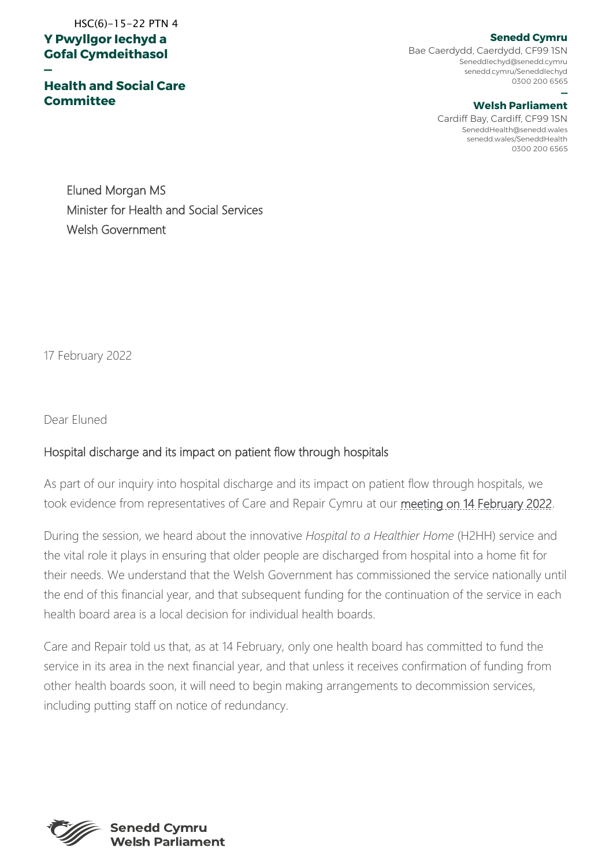## **Y Pwyllgor Iechyd a Gofal Cymdeithasol**  HSC(6)-15-22 PTN 4

**—**

**Health and Social Care Committee**

**Senedd Cymru**

Bae Caerdydd, Caerdydd, CF99 1SN SeneddIechyd@senedd.cymru senedd.cymru/SeneddIechyd 0300 200 6565

## **— Welsh Parliament**

Cardiff Bay, Cardiff, CF99 1SN SeneddHealth@senedd.wales senedd.wales/SeneddHealth 0300 200 6565

Eluned Morgan MS Minister for Health and Social Services Welsh Government

17 February 2022

Dear Eluned

## Hospital discharge and its impact on patient flow through hospitals

As part of our inquiry into hospital discharge and its impact on patient flow through hospitals, we took evidence from representatives of Care and Repair Cymru at our [meeting on 14 February 2022.](https://business.senedd.wales/ieListDocuments.aspx?CId=737&MId=12725&Ver=4)

During the session, we heard about the innovative *Hospital to a Healthier Home* (H2HH) service and the vital role it plays in ensuring that older people are discharged from hospital into a home fit for their needs. We understand that the Welsh Government has commissioned the service nationally until the end of this financial year, and that subsequent funding for the continuation of the service in each health board area is a local decision for individual health boards.

Care and Repair told us that, as at 14 February, only one health board has committed to fund the service in its area in the next financial year, and that unless it receives confirmation of funding from other health boards soon, it will need to begin making arrangements to decommission services, including putting staff on notice of redundancy.



**Senedd Cymru Welsh Parliament**